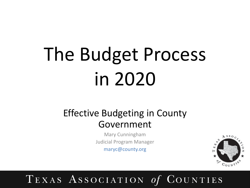### Effective Budgeting in County Government

Mary Cunningham Judicial Program Manager maryc@county.org

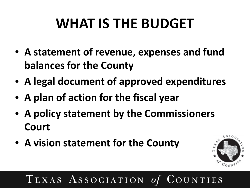## **WHAT IS THE BUDGET**

- **A statement of revenue, expenses and fund balances for the County**
- **A legal document of approved expenditures**
- **A plan of action for the fiscal year**
- **A policy statement by the Commissioners Court**
- **A vision statement for the County**

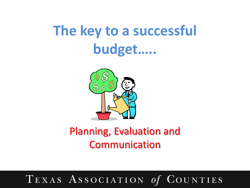## **The key to a successful budget…..**



### Planning, Evaluation and Communication

#### TEXAS ASSOCIATION of  $\mathrm{C}$ ounties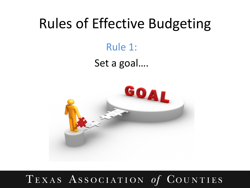### Rule 1:

### Set a goal….

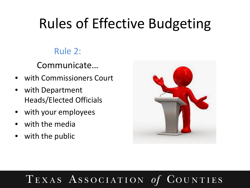### Rule 2:

Communicate…

- with Commissioners Court
- with Department Heads/Elected Officials
- with your employees
- with the media
- with the public



#### TEXAS ASSOCIATION OUNTIES  $\boldsymbol{O}$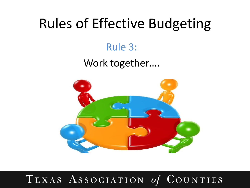### Rule 3:

### Work together….

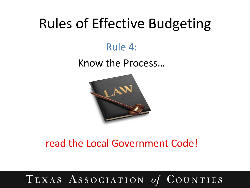### Rule 4:

### Know the Process…



### read the Local Government Code!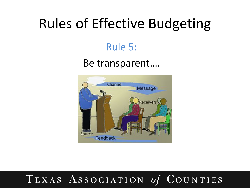### Rule 5:

### Be transparent….

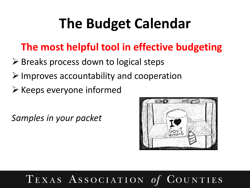## **The Budget Calendar**

### **The most helpful tool in effective budgeting**

- $\triangleright$  Breaks process down to logical steps
- $\triangleright$  Improves accountability and cooperation
- $\triangleright$  Keeps everyone informed

*Samples in your packet*

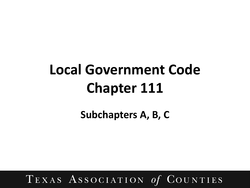## **Local Government Code Chapter 111**

**Subchapters A, B, C**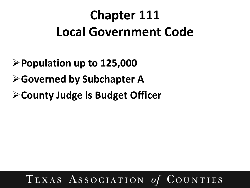### **Chapter 111 Local Government Code**

- **Population up to 125,000**
- **Governed by Subchapter A**
- **County Judge is Budget Officer**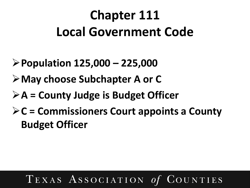### **Chapter 111 Local Government Code**

- **Population 125,000 – 225,000**
- **May choose Subchapter A or C**
- **A = County Judge is Budget Officer**
- **C = Commissioners Court appoints a County Budget Officer**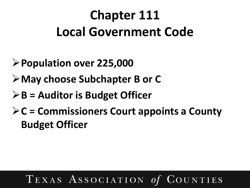### **Chapter 111 Local Government Code**

- **Population over 225,000**
- **May choose Subchapter B or C**
- **B = Auditor is Budget Officer**
- **C = Commissioners Court appoints a County Budget Officer**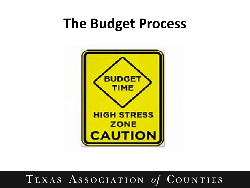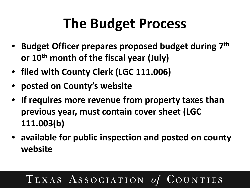- **Budget Officer prepares proposed budget during 7th or 10th month of the fiscal year (July)**
- **filed with County Clerk (LGC 111.006)**
- **posted on County's website**
- **If requires more revenue from property taxes than previous year, must contain cover sheet (LGC 111.003(b)**
- **available for public inspection and posted on county website**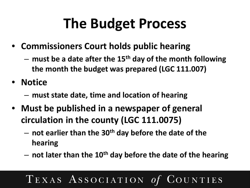- **Commissioners Court holds public hearing** 
	- **must be a date after the 15th day of the month following the month the budget was prepared (LGC 111.007)**

• **Notice** 

- **must state date, time and location of hearing**
- **Must be published in a newspaper of general circulation in the county (LGC 111.0075)**
	- **not earlier than the 30th day before the date of the hearing**
	- **not later than the 10th day before the date of the hearing**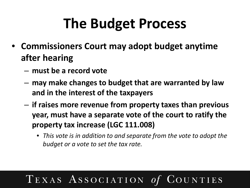- **Commissioners Court may adopt budget anytime after hearing**
	- **must be a record vote**
	- **may make changes to budget that are warranted by law and in the interest of the taxpayers**
	- **if raises more revenue from property taxes than previous year, must have a separate vote of the court to ratify the property tax increase (LGC 111.008)**
		- *This vote is in addition to and separate from the vote to adopt the budget or a vote to set the tax rate.*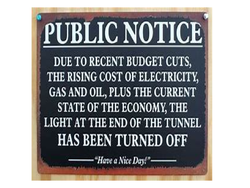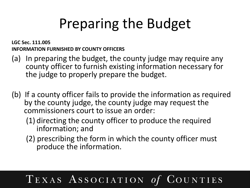## Preparing the Budget

**LGC Sec. 111.005 INFORMATION FURNISHED BY COUNTY OFFICERS** 

- (a) In preparing the budget, the county judge may require any county officer to furnish existing information necessary for the judge to properly prepare the budget.
- (b) If a county officer fails to provide the information as required by the county judge, the county judge may request the commissioners court to issue an order:
	- (1) directing the county officer to produce the required information; and
	- (2) prescribing the form in which the county officer must produce the information.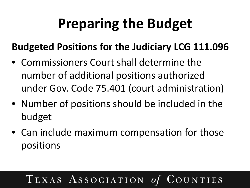## **Preparing the Budget**

### **Budgeted Positions for the Judiciary LCG 111.096**

- Commissioners Court shall determine the number of additional positions authorized under Gov. Code 75.401 (court administration)
- Number of positions should be included in the budget
- Can include maximum compensation for those positions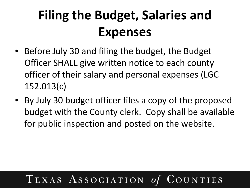### **Filing the Budget, Salaries and Expenses**

- Before July 30 and filing the budget, the Budget Officer SHALL give written notice to each county officer of their salary and personal expenses (LGC 152.013(c)
- By July 30 budget officer files a copy of the proposed budget with the County clerk. Copy shall be available for public inspection and posted on the website.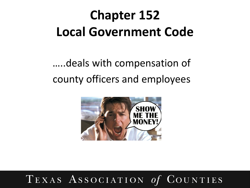### **Chapter 152 Local Government Code**

…..deals with compensation of county officers and employees

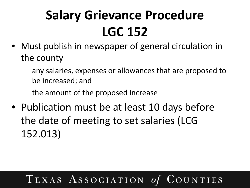### **Salary Grievance Procedure LGC 152**

- Must publish in newspaper of general circulation in the county
	- any salaries, expenses or allowances that are proposed to be increased; and
	- the amount of the proposed increase
- Publication must be at least 10 days before the date of meeting to set salaries (LCG 152.013)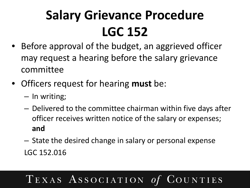### **Salary Grievance Procedure LGC 152**

- Before approval of the budget, an aggrieved officer may request a hearing before the salary grievance committee
- Officers request for hearing **must** be:
	- In writing;
	- Delivered to the committee chairman within five days after officer receives written notice of the salary or expenses; **and**
	- State the desired change in salary or personal expense LGC 152.016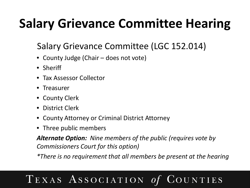### **Salary Grievance Committee Hearing**

### Salary Grievance Committee (LGC 152.014)

- County Judge (Chair does not vote)
- Sheriff
- Tax Assessor Collector
- Treasurer
- County Clerk
- District Clerk
- County Attorney or Criminal District Attorney
- Three public members

*Alternate Option: Nine members of the public (requires vote by Commissioners Court for this option)*

*\*There is no requirement that all members be present at the hearing*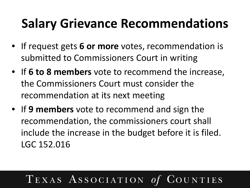### **Salary Grievance Recommendations**

- If request gets **6 or more** votes, recommendation is submitted to Commissioners Court in writing
- If **6 to 8 members** vote to recommend the increase, the Commissioners Court must consider the recommendation at its next meeting
- If **9 members** vote to recommend and sign the recommendation, the commissioners court shall include the increase in the budget before it is filed. LGC 152.016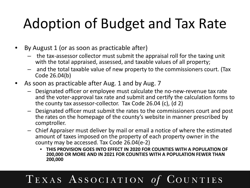## Adoption of Budget and Tax Rate

- By August 1 (or as soon as practicable after)
	- the tax-assessor collector must submit the appraisal roll for the taxing unit with the total appraised, assessed, and taxable values of all property;
	- and the total taxable value of new property to the commissioners court. (Tax Code 26.04(b)
- As soon as practicable after Aug. 1 and by Aug. 7
	- Designated officer or employee must calculate the no-new-revenue tax rate and the voter-approval tax rate and submit and certify the calculation forms to the county tax assessor-collector. Tax Code 26.04 (c), (d 2)
	- Designated officer must submit the rates to the commissioners court and post the rates on the homepage of the county's website in manner prescribed by comptroller.
	- Chief Appraiser must deliver by mail or email a notice of where the estimated amount of taxes imposed on the property of each property owner in the county may be accessed. Tax Code 26.04(e-2)
		- **THIS PROVISION GOES INTO EFFECT IN 2020 FOR COUNTIES WITH A POPULATION OF 200,000 OR MORE AND IN 2021 FOR COUNTIES WITH A POPULATION FEWER THAN 200,000**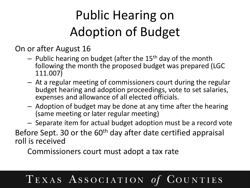### Public Hearing on Adoption of Budget

On or after August 16

- $-$  Public hearing on budget (after the 15<sup>th</sup> day of the month following the month the proposed budget was prepared (LGC 111.007)
- At a regular meeting of commissioners court during the regular budget hearing and adoption proceedings, vote to set salaries, expenses and allowance of all elected officials.
- Adoption of budget may be done at any time after the hearing (same meeting or later regular meeting)
- Separate item for actual budget adoption must be a record vote

Before Sept. 30 or the 60<sup>th</sup> day after date certified appraisal roll is received

Commissioners court must adopt a tax rate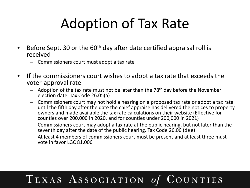## Adoption of Tax Rate

- Before Sept. 30 or the 60<sup>th</sup> day after date certified appraisal roll is received
	- Commissioners court must adopt a tax rate
- If the commissioners court wishes to adopt a tax rate that exceeds the voter-approval rate
	- $-$  Adoption of the tax rate must not be later than the 78<sup>th</sup> day before the November election date. Tax Code 26.05(a)
	- Commissioners court may not hold a hearing on a proposed tax rate or adopt a tax rate until the fifth day after the date the chief appraise has delivered the notices to property owners and made available the tax rate calculations on their website (Effective for counties over 200,000 in 2020, and for counties under 200,000 in 2021)
	- Commissioners court may adopt a tax rate at the public hearing, but not later than the seventh day after the date of the public hearing. Tax Code 26.06 (d)(e)
	- At least 4 members of commissioners court must be present and at least three must vote in favor LGC 81.006

#### $TEXAS$   $Association$ OUNTIES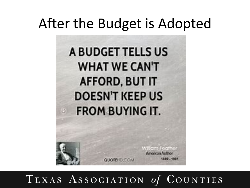### After the Budget is Adopted

A BUDGET TELLS US **WHAT WE CAN'T AFFORD, BUT IT DOESN'T KEEP US FROM BUYING IT.** 

> William Sorther **American Author** 1889 - 1981

TEXAS ASSOCIATION 01  $\rm COUNTIES$ 

**QUOTEHD COM**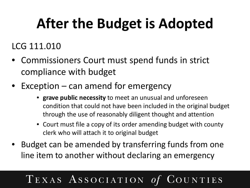## **After the Budget is Adopted**

### LCG 111.010

- Commissioners Court must spend funds in strict compliance with budget
- Exception can amend for emergency
	- **grave public necessity** to meet an unusual and unforeseen condition that could not have been included in the original budget through the use of reasonably diligent thought and attention
	- Court must file a copy of its order amending budget with county clerk who will attach it to original budget
- Budget can be amended by transferring funds from one line item to another without declaring an emergency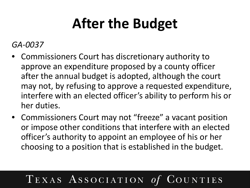## **After the Budget**

*GA-0037*

- Commissioners Court has discretionary authority to approve an expenditure proposed by a county officer after the annual budget is adopted, although the court may not, by refusing to approve a requested expenditure, interfere with an elected officer's ability to perform his or her duties.
- Commissioners Court may not "freeze" a vacant position or impose other conditions that interfere with an elected officer's authority to appoint an employee of his or her choosing to a position that is established in the budget.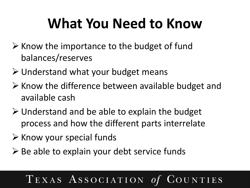## **What You Need to Know**

- $\triangleright$  Know the importance to the budget of fund balances/reserves
- $\triangleright$  Understand what your budget means
- $\triangleright$  Know the difference between available budget and available cash
- $\triangleright$  Understand and be able to explain the budget process and how the different parts interrelate
- $\triangleright$  Know your special funds
- $\triangleright$  Be able to explain your debt service funds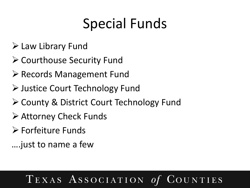## Special Funds

- Law Library Fund
- **≻ Courthouse Security Fund**
- ▶ Records Management Fund
- Justice Court Technology Fund
- ▶ County & District Court Technology Fund
- Attorney Check Funds
- Forfeiture Funds
- ….just to name a few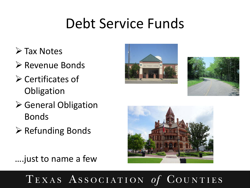### Debt Service Funds

- **≻ Tax Notes**
- Revenue Bonds
- $\triangleright$  Certificates of **Obligation**
- **≻** General Obligation Bonds
- $\triangleright$  Refunding Bonds







….just to name a few

TEXAS ASSOCIATION OUNTIES  $\boldsymbol{O}$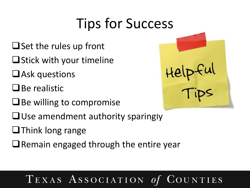## Tips for Success

- $\Box$  Set the rules up front
- $\square$  Stick with your timeline
- $U$ Ask questions
- $\Box$  Be realistic
- $\Box$  Be willing to compromise
- $\Box$  Use amendment authority sparingly
- $\Box$ Think long range
- $\Box$  Remain engaged through the entire year